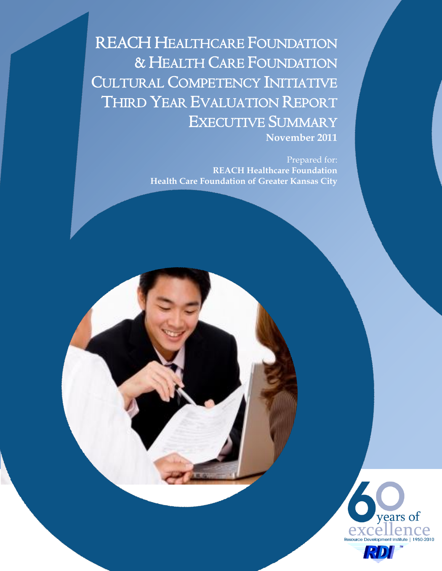REACH HEALTHCARE FOUNDATION & HEALTH CARE FOUNDATION CULTURAL COMPETENCY INITIATIVE THIRD YEAR EVALUATION REPORT EXECUTIVE SUMMARY **November 2011**

> Prepared for: **REACH Healthcare Foundation Health Care Foundation of Greater Kansas City**

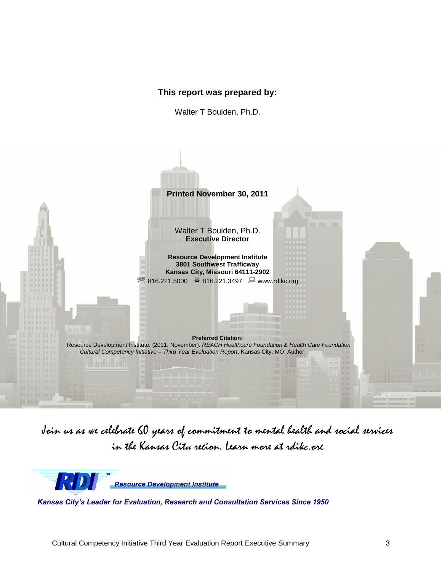## **This report was prepared by:**

Walter T Boulden, Ph.D.



Join us as we celebrate 60 years of commitment to mental health and social services in the Kansas City recion. Learn more at rdikc.org



*Kansas City's Leader for Evaluation, Research and Consultation Services Since 1950*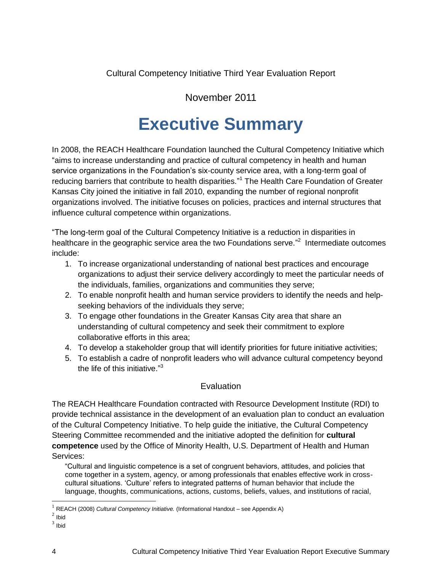Cultural Competency Initiative Third Year Evaluation Report

# November 2011

# **Executive Summary**

In 2008, the REACH Healthcare Foundation launched the Cultural Competency Initiative which "aims to increase understanding and practice of cultural competency in health and human service organizations in the Foundation's six-county service area, with a long-term goal of reducing barriers that contribute to health disparities."<sup>1</sup> The Health Care Foundation of Greater Kansas City joined the initiative in fall 2010, expanding the number of regional nonprofit organizations involved. The initiative focuses on policies, practices and internal structures that influence cultural competence within organizations.

"The long-term goal of the Cultural Competency Initiative is a reduction in disparities in healthcare in the geographic service area the two Foundations serve."<sup>2</sup> Intermediate outcomes include:

- 1. To increase organizational understanding of national best practices and encourage organizations to adjust their service delivery accordingly to meet the particular needs of the individuals, families, organizations and communities they serve;
- 2. To enable nonprofit health and human service providers to identify the needs and helpseeking behaviors of the individuals they serve;
- 3. To engage other foundations in the Greater Kansas City area that share an understanding of cultural competency and seek their commitment to explore collaborative efforts in this area;
- 4. To develop a stakeholder group that will identify priorities for future initiative activities;
- 5. To establish a cadre of nonprofit leaders who will advance cultural competency beyond the life of this initiative."<sup>3</sup>

# **Evaluation**

The REACH Healthcare Foundation contracted with Resource Development Institute (RDI) to provide technical assistance in the development of an evaluation plan to conduct an evaluation of the Cultural Competency Initiative. To help guide the initiative, the Cultural Competency Steering Committee recommended and the initiative adopted the definition for **cultural competence** used by the Office of Minority Health, U.S. Department of Health and Human Services:

"Cultural and linguistic competence is a set of congruent behaviors, attitudes, and policies that come together in a system, agency, or among professionals that enables effective work in crosscultural situations. 'Culture' refers to integrated patterns of human behavior that include the language, thoughts, communications, actions, customs, beliefs, values, and institutions of racial,

 $\overline{a}$ 

<sup>&</sup>lt;sup>1</sup> REACH (2008) *Cultural Competency Initiative.* (Informational Handout – see Appendix A)

 $<sup>2</sup>$  Ibid</sup>

 $3$  lbid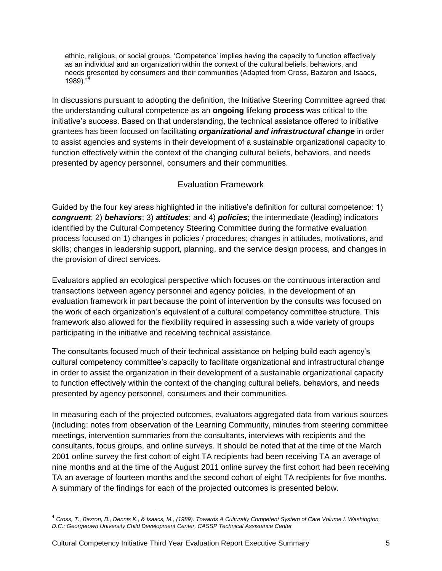ethnic, religious, or social groups. 'Competence' implies having the capacity to function effectively as an individual and an organization within the context of the cultural beliefs, behaviors, and needs presented by consumers and their communities (Adapted from Cross, Bazaron and Isaacs,  $1989.$ "

In discussions pursuant to adopting the definition, the Initiative Steering Committee agreed that the understanding cultural competence as an **ongoing** lifelong **process** was critical to the initiative's success. Based on that understanding, the technical assistance offered to initiative grantees has been focused on facilitating *organizational and infrastructural change* in order to assist agencies and systems in their development of a sustainable organizational capacity to function effectively within the context of the changing cultural beliefs, behaviors, and needs presented by agency personnel, consumers and their communities.

# Evaluation Framework

Guided by the four key areas highlighted in the initiative's definition for cultural competence: 1) *congruent*; 2) *behaviors*; 3) *attitudes*; and 4) *policies*; the intermediate (leading) indicators identified by the Cultural Competency Steering Committee during the formative evaluation process focused on 1) changes in policies / procedures; changes in attitudes, motivations, and skills; changes in leadership support, planning, and the service design process, and changes in the provision of direct services.

Evaluators applied an ecological perspective which focuses on the continuous interaction and transactions between agency personnel and agency policies, in the development of an evaluation framework in part because the point of intervention by the consults was focused on the work of each organization's equivalent of a cultural competency committee structure. This framework also allowed for the flexibility required in assessing such a wide variety of groups participating in the initiative and receiving technical assistance.

The consultants focused much of their technical assistance on helping build each agency's cultural competency committee's capacity to facilitate organizational and infrastructural change in order to assist the organization in their development of a sustainable organizational capacity to function effectively within the context of the changing cultural beliefs, behaviors, and needs presented by agency personnel, consumers and their communities.

In measuring each of the projected outcomes, evaluators aggregated data from various sources (including: notes from observation of the Learning Community, minutes from steering committee meetings, intervention summaries from the consultants, interviews with recipients and the consultants, focus groups, and online surveys. It should be noted that at the time of the March 2001 online survey the first cohort of eight TA recipients had been receiving TA an average of nine months and at the time of the August 2011 online survey the first cohort had been receiving TA an average of fourteen months and the second cohort of eight TA recipients for five months. A summary of the findings for each of the projected outcomes is presented below.

 $\overline{a}$ 

<sup>4</sup> *Cross, T., Bazron, B., Dennis K., & Isaacs, M., (1989). Towards A Culturally Competent System of Care Volume I. Washington, D.C.: Georgetown University Child Development Center, CASSP Technical Assistance Center*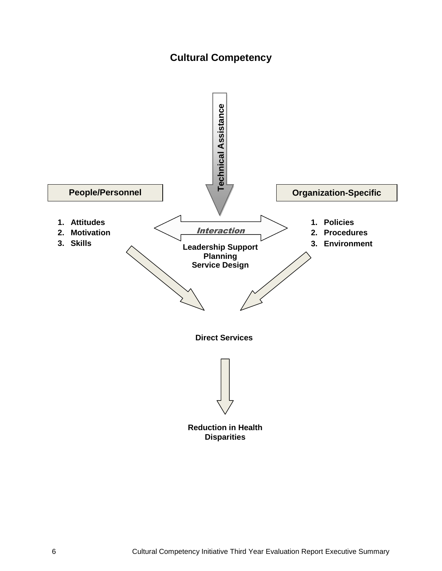# **Cultural Competency**

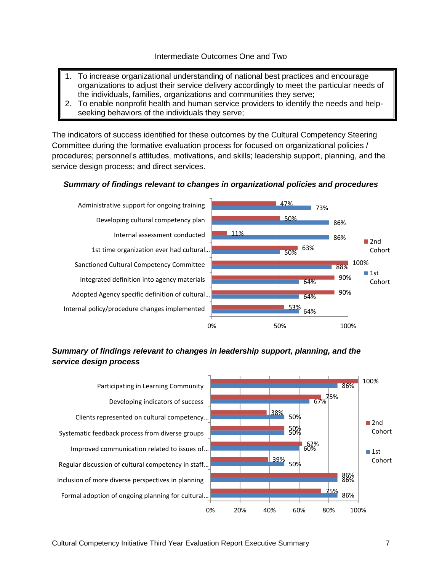- 1. To increase organizational understanding of national best practices and encourage organizations to adjust their service delivery accordingly to meet the particular needs of the individuals, families, organizations and communities they serve;
- 2. To enable nonprofit health and human service providers to identify the needs and helpseeking behaviors of the individuals they serve;

The indicators of success identified for these outcomes by the Cultural Competency Steering Committee during the formative evaluation process for focused on organizational policies / procedures; personnel's attitudes, motivations, and skills; leadership support, planning, and the service design process; and direct services.

#### *Summary of findings relevant to changes in organizational policies and procedures*



#### *Summary of findings relevant to changes in leadership support, planning, and the service design process*

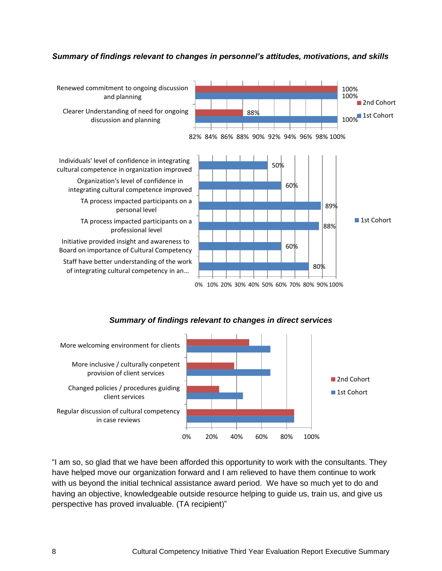#### *Summary of findings relevant to changes in personnel's attitudes, motivations, and skills*



#### *Summary of findings relevant to changes in direct services*



"I am so, so glad that we have been afforded this opportunity to work with the consultants. They have helped move our organization forward and I am relieved to have them continue to work with us beyond the initial technical assistance award period. We have so much yet to do and having an objective, knowledgeable outside resource helping to guide us, train us, and give us perspective has proved invaluable. (TA recipient)"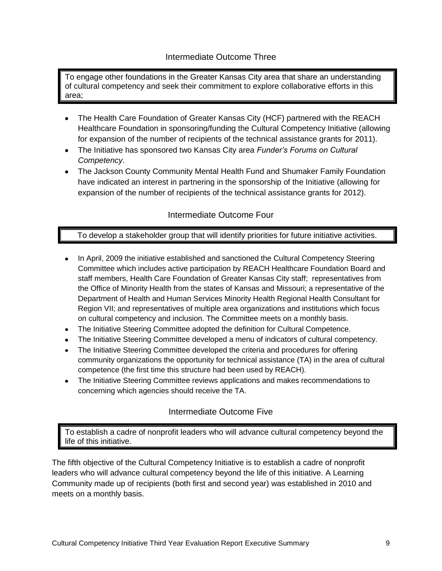## Intermediate Outcome Three

To engage other foundations in the Greater Kansas City area that share an understanding of cultural competency and seek their commitment to explore collaborative efforts in this area;

- The Health Care Foundation of Greater Kansas City (HCF) partnered with the REACH Healthcare Foundation in sponsoring/funding the Cultural Competency Initiative (allowing for expansion of the number of recipients of the technical assistance grants for 2011).
- The Initiative has sponsored two Kansas City area *Funder's Forums on Cultural Competency*.
- The Jackson County Community Mental Health Fund and Shumaker Family Foundation have indicated an interest in partnering in the sponsorship of the Initiative (allowing for expansion of the number of recipients of the technical assistance grants for 2012).

# Intermediate Outcome Four

## To develop a stakeholder group that will identify priorities for future initiative activities.

- In April, 2009 the initiative established and sanctioned the Cultural Competency Steering Committee which includes active participation by REACH Healthcare Foundation Board and staff members, Health Care Foundation of Greater Kansas City staff; representatives from the Office of Minority Health from the states of Kansas and Missouri; a representative of the Department of Health and Human Services Minority Health Regional Health Consultant for Region VII; and representatives of multiple area organizations and institutions which focus on cultural competency and inclusion. The Committee meets on a monthly basis.
- The Initiative Steering Committee adopted the definition for Cultural Competence.
- $\bullet$ The Initiative Steering Committee developed a menu of indicators of cultural competency.
- The Initiative Steering Committee developed the criteria and procedures for offering community organizations the opportunity for technical assistance (TA) in the area of cultural competence (the first time this structure had been used by REACH).
- The Initiative Steering Committee reviews applications and makes recommendations to concerning which agencies should receive the TA.

# Intermediate Outcome Five

To establish a cadre of nonprofit leaders who will advance cultural competency beyond the life of this initiative.

The fifth objective of the Cultural Competency Initiative is to establish a cadre of nonprofit leaders who will advance cultural competency beyond the life of this initiative. A Learning Community made up of recipients (both first and second year) was established in 2010 and meets on a monthly basis.